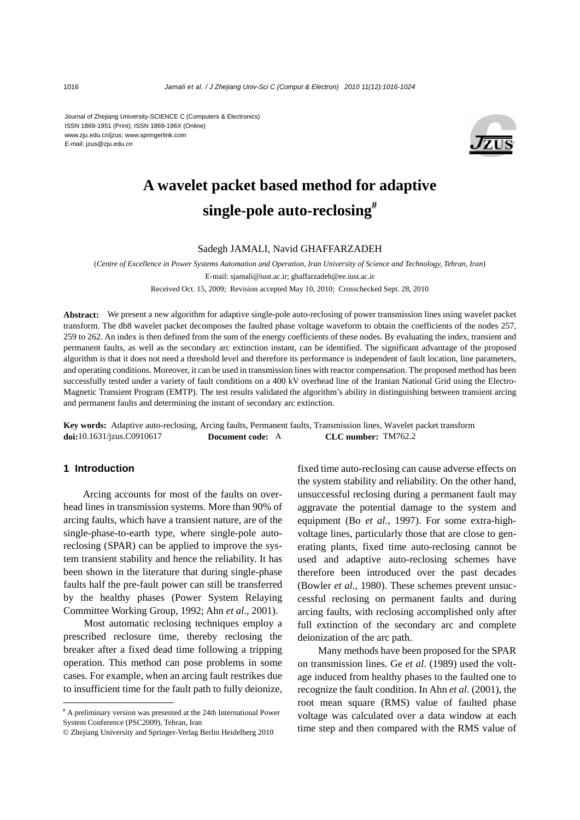Journal of Zhejiang University-SCIENCE C (Computers & Electronics) ISSN 1869-1951 (Print); ISSN 1869-196X (Online) www.zju.edu.cn/jzus; www.springerlink.com E-mail: jzus@zju.edu.cn



# **A wavelet packet based method for adaptive single-pole auto-reclosing#**

# Sadegh JAMALI, Navid GHAFFARZADEH

(*Centre of Excellence in Power Systems Automation and Operation, Iran University of Science and Technology, Tehran, Iran*)

E-mail: sjamali@iust.ac.ir; ghaffarzadeh@ee.iust.ac.ir

Received Oct. 15, 2009; Revision accepted May 10, 2010; Crosschecked Sept. 28, 2010

**Abstract:** We present a new algorithm for adaptive single-pole auto-reclosing of power transmission lines using wavelet packet transform. The db8 wavelet packet decomposes the faulted phase voltage waveform to obtain the coefficients of the nodes 257, 259 to 262. An index is then defined from the sum of the energy coefficients of these nodes. By evaluating the index, transient and permanent faults, as well as the secondary arc extinction instant, can be identified. The significant advantage of the proposed algorithm is that it does not need a threshold level and therefore its performance is independent of fault location, line parameters, and operating conditions. Moreover, it can be used in transmission lines with reactor compensation. The proposed method has been successfully tested under a variety of fault conditions on a 400 kV overhead line of the Iranian National Grid using the Electro-Magnetic Transient Program (EMTP). The test results validated the algorithm's ability in distinguishing between transient arcing and permanent faults and determining the instant of secondary arc extinction.

**Key words:** Adaptive auto-reclosing, Arcing faults, Permanent faults, Transmission lines, Wavelet packet transform **doi:**10.1631/jzus.C0910617 **Document code:** A **CLC number:** TM762.2

# **1 Introduction**

Arcing accounts for most of the faults on overhead lines in transmission systems. More than 90% of arcing faults, which have a transient nature, are of the single-phase-to-earth type, where single-pole autoreclosing (SPAR) can be applied to improve the system transient stability and hence the reliability. It has been shown in the literature that during single-phase faults half the pre-fault power can still be transferred by the healthy phases (Power System Relaying Committee Working Group, 1992; Ahn *et al*., 2001).

Most automatic reclosing techniques employ a prescribed reclosure time, thereby reclosing the breaker after a fixed dead time following a tripping operation. This method can pose problems in some cases. For example, when an arcing fault restrikes due to insufficient time for the fault path to fully deionize,

fixed time auto-reclosing can cause adverse effects on the system stability and reliability. On the other hand, unsuccessful reclosing during a permanent fault may aggravate the potential damage to the system and equipment (Bo *et al*., 1997). For some extra-highvoltage lines, particularly those that are close to generating plants, fixed time auto-reclosing cannot be used and adaptive auto-reclosing schemes have therefore been introduced over the past decades (Bowler *et al*., 1980). These schemes prevent unsuccessful reclosing on permanent faults and during arcing faults, with reclosing accomplished only after full extinction of the secondary arc and complete deionization of the arc path.

Many methods have been proposed for the SPAR on transmission lines. Ge *et al*. (1989) used the voltage induced from healthy phases to the faulted one to recognize the fault condition. In Ahn *et al*. (2001), the root mean square (RMS) value of faulted phase voltage was calculated over a data window at each time step and then compared with the RMS value of

<sup>#</sup> A preliminary version was presented at the 24th International Power System Conference (PSC2009), Tehran, Iran

<sup>©</sup> Zhejiang University and Springer-Verlag Berlin Heidelberg 2010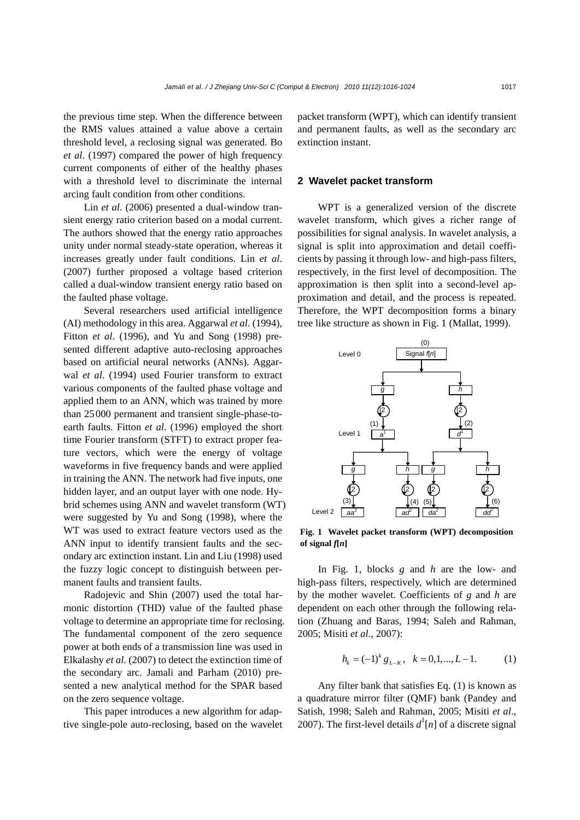the previous time step. When the difference between the RMS values attained a value above a certain threshold level, a reclosing signal was generated. Bo *et al*. (1997) compared the power of high frequency current components of either of the healthy phases with a threshold level to discriminate the internal arcing fault condition from other conditions.

Lin *et al*. (2006) presented a dual-window transient energy ratio criterion based on a modal current. The authors showed that the energy ratio approaches unity under normal steady-state operation, whereas it increases greatly under fault conditions. Lin *et al*. (2007) further proposed a voltage based criterion called a dual-window transient energy ratio based on the faulted phase voltage.

Several researchers used artificial intelligence (AI) methodology in this area. Aggarwal *et al*. (1994), Fitton *et al*. (1996), and Yu and Song (1998) presented different adaptive auto-reclosing approaches based on artificial neural networks (ANNs). Aggarwal *et al*. (1994) used Fourier transform to extract various components of the faulted phase voltage and applied them to an ANN, which was trained by more than 25000 permanent and transient single-phase-toearth faults. Fitton *et al*. (1996) employed the short time Fourier transform (STFT) to extract proper feature vectors, which were the energy of voltage waveforms in five frequency bands and were applied in training the ANN. The network had five inputs, one hidden layer, and an output layer with one node. Hybrid schemes using ANN and wavelet transform (WT) were suggested by Yu and Song (1998), where the WT was used to extract feature vectors used as the ANN input to identify transient faults and the secondary arc extinction instant. Lin and Liu (1998) used the fuzzy logic concept to distinguish between permanent faults and transient faults.

Radojevic and Shin (2007) used the total harmonic distortion (THD) value of the faulted phase voltage to determine an appropriate time for reclosing. The fundamental component of the zero sequence power at both ends of a transmission line was used in Elkalashy *et al*. (2007) to detect the extinction time of the secondary arc. Jamali and Parham (2010) presented a new analytical method for the SPAR based on the zero sequence voltage.

This paper introduces a new algorithm for adaptive single-pole auto-reclosing, based on the wavelet packet transform (WPT), which can identify transient and permanent faults, as well as the secondary arc extinction instant.

#### **2 Wavelet packet transform**

WPT is a generalized version of the discrete wavelet transform, which gives a richer range of possibilities for signal analysis. In wavelet analysis, a signal is split into approximation and detail coefficients by passing it through low- and high-pass filters, respectively, in the first level of decomposition. The approximation is then split into a second-level approximation and detail, and the process is repeated. Therefore, the WPT decomposition forms a binary tree like structure as shown in Fig. 1 (Mallat, 1999).



**Fig. 1 Wavelet packet transform (WPT) decomposition**  of signal  $f[n]$ 

In Fig. 1, blocks *g* and *h* are the low- and high-pass filters, respectively, which are determined by the mother wavelet. Coefficients of *g* and *h* are dependent on each other through the following relation (Zhuang and Baras, 1994; Saleh and Rahman, 2005; Misiti *et al*., 2007):

$$
h_k = (-1)^k g_{L-K}, \quad k = 0, 1, \dots, L-1.
$$
 (1)

Any filter bank that satisfies Eq. (1) is known as a quadrature mirror filter (QMF) bank (Pandey and Satish, 1998; Saleh and Rahman, 2005; Misiti *et al*., 2007). The first-level details  $d<sup>1</sup>[n]$  of a discrete signal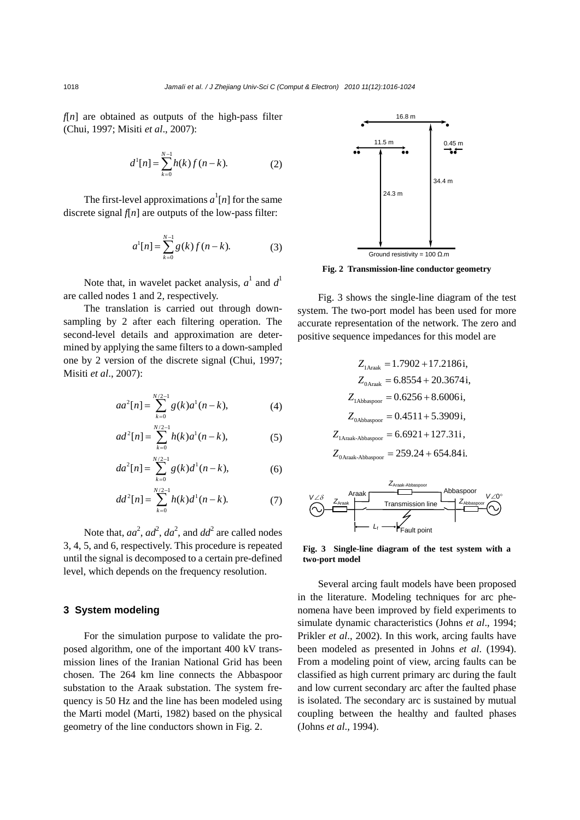$f[n]$  are obtained as outputs of the high-pass filter (Chui, 1997; Misiti *et al*., 2007):

$$
d^{1}[n] = \sum_{k=0}^{N-1} h(k) f(n-k).
$$
 (2)

The first-level approximations  $a^1[n]$  for the same discrete signal  $f[n]$  are outputs of the low-pass filter:

$$
a^{1}[n] = \sum_{k=0}^{N-1} g(k) f(n-k).
$$
 (3)

Note that, in wavelet packet analysis,  $a^1$  and  $d^1$ are called nodes 1 and 2, respectively.

The translation is carried out through downsampling by 2 after each filtering operation. The second-level details and approximation are determined by applying the same filters to a down-sampled one by 2 version of the discrete signal (Chui, 1997; Misiti *et al*., 2007):

$$
aa^{2}[n] = \sum_{k=0}^{N/2-1} g(k)a^{1}(n-k),
$$
 (4)

$$
ad^{2}[n] = \sum_{k=0}^{N/2-1} h(k)a^{1}(n-k),
$$
 (5)

$$
da^{2}[n] = \sum_{k=0}^{N/2-1} g(k)d^{1}(n-k),
$$
 (6)

$$
dd^{2}[n] = \sum_{k=0}^{N/2-1} h(k) d^{1}(n-k).
$$
 (7)

Note that,  $aa^2$ ,  $ad^2$ ,  $da^2$ , and  $dd^2$  are called nodes 3, 4, 5, and 6, respectively. This procedure is repeated until the signal is decomposed to a certain pre-defined level, which depends on the frequency resolution.

# **3 System modeling**

For the simulation purpose to validate the proposed algorithm, one of the important 400 kV transmission lines of the Iranian National Grid has been chosen. The 264 km line connects the Abbaspoor substation to the Araak substation. The system frequency is 50 Hz and the line has been modeled using the Marti model (Marti, 1982) based on the physical geometry of the line conductors shown in Fig. 2.



**Fig. 2 Transmission-line conductor geometry**

Fig. 3 shows the single-line diagram of the test system. The two-port model has been used for more accurate representation of the network. The zero and positive sequence impedances for this model are

$$
Z_{1\text{Arack}} = 1.7902 + 17.2186\text{i},
$$
\n
$$
Z_{0\text{Arack}} = 6.8554 + 20.3674\text{i},
$$
\n
$$
Z_{1\text{Abbaspoor}} = 0.6256 + 8.6006\text{i},
$$
\n
$$
Z_{0\text{Abbaspoor}} = 0.4511 + 5.3909\text{i},
$$
\n
$$
Z_{1\text{Arack-Abbaspoor}} = 6.6921 + 127.31\text{i},
$$
\n
$$
Z_{0\text{Arack-Abbaspoor}} = 259.24 + 654.84\text{i}.
$$



**Fig. 3 Single-line diagram of the test system with a two-port model**

Several arcing fault models have been proposed in the literature. Modeling techniques for arc phenomena have been improved by field experiments to simulate dynamic characteristics (Johns *et al*., 1994; Prikler *et al*., 2002). In this work, arcing faults have been modeled as presented in Johns *et al*. (1994). From a modeling point of view, arcing faults can be classified as high current primary arc during the fault and low current secondary arc after the faulted phase is isolated. The secondary arc is sustained by mutual coupling between the healthy and faulted phases (Johns *et al*., 1994).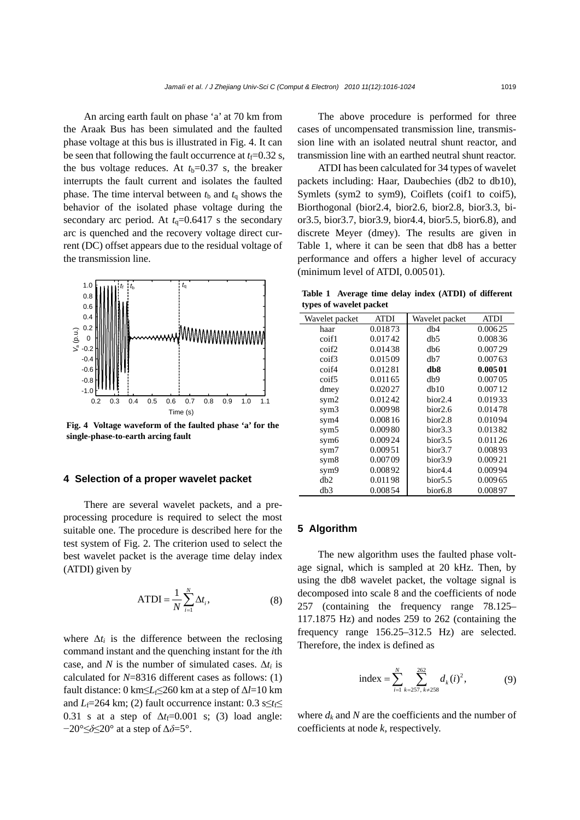An arcing earth fault on phase 'a' at 70 km from the Araak Bus has been simulated and the faulted phase voltage at this bus is illustrated in Fig. 4. It can be seen that following the fault occurrence at  $t_f=0.32$  s, the bus voltage reduces. At  $t_b=0.37$  s, the breaker interrupts the fault current and isolates the faulted phase. The time interval between  $t<sub>b</sub>$  and  $t<sub>q</sub>$  shows the behavior of the isolated phase voltage during the secondary arc period. At  $t<sub>q</sub>=0.6417$  s the secondary arc is quenched and the recovery voltage direct current (DC) offset appears due to the residual voltage of the transmission line.



**Fig. 4 Voltage waveform of the faulted phase 'a' for the single-phase-to-earth arcing fault**

### **4 Selection of a proper wavelet packet**

There are several wavelet packets, and a preprocessing procedure is required to select the most suitable one. The procedure is described here for the test system of Fig. 2. The criterion used to select the best wavelet packet is the average time delay index (ATDI) given by

$$
\text{ATDI} = \frac{1}{N} \sum_{i=1}^{N} \Delta t_i,\tag{8}
$$

where  $\Delta t_i$  is the difference between the reclosing command instant and the quenching instant for the *i*th case, and *N* is the number of simulated cases.  $\Delta t_i$  is calculated for *N*=8316 different cases as follows: (1) fault distance: 0 km≤*L*f≤260 km at a step of Δ*l*=10 km and *L*<sub>f</sub>=264 km; (2) fault occurrence instant:  $0.3$  s $\leq t \leq$ 0.31 s at a step of  $\Delta t$ <sub>f</sub>=0.001 s; (3) load angle: −20°≤*δ*≤20° at a step of Δ*δ*=5°.

The above procedure is performed for three cases of uncompensated transmission line, transmission line with an isolated neutral shunt reactor, and transmission line with an earthed neutral shunt reactor.

ATDI has been calculated for 34 types of wavelet packets including: Haar, Daubechies (db2 to db10), Symlets (sym2 to sym9), Coiflets (coif1 to coif5), Biorthogonal (bior2.4, bior2.6, bior2.8, bior3.3, bior3.5, bior3.7, bior3.9, bior4.4, bior5.5, bior6.8), and discrete Meyer (dmey). The results are given in Table 1, where it can be seen that db8 has a better performance and offers a higher level of accuracy (minimum level of ATDI, 0.00501).

**Table 1 Average time delay index (ATDI) of different types of wavelet packet** 

| Wavelet packet    | ATDI    | Wavelet packet      | <b>ATDI</b> |
|-------------------|---------|---------------------|-------------|
| haar              | 0.01873 | db4                 | 0.00625     |
| coif1             | 0.01742 | db5                 | 0.00836     |
| coif <sub>2</sub> | 0.01438 | db6                 | 0.00729     |
| coif3             | 0.01509 | db7                 | 0.00763     |
| coif4             | 0.01281 | db8                 | 0.00501     |
| coif5             | 0.01165 | db9                 | 0.00705     |
| dmey              | 0.02027 | dh10                | 0.00712     |
| sym <sub>2</sub>  | 0.01242 | bior <sub>2.4</sub> | 0.01933     |
| sym <sub>3</sub>  | 0.00998 | bior <sub>2.6</sub> | 0.01478     |
| sym4              | 0.00816 | bior <sub>2.8</sub> | 0.01094     |
| sym5              | 0.00980 | bior3.3             | 0.01382     |
| sym <sub>6</sub>  | 0.00924 | bior <sub>3.5</sub> | 0.01126     |
| sym7              | 0.00951 | bior3.7             | 0.00893     |
| sym <sub>8</sub>  | 0.00709 | bior3.9             | 0.00921     |
| sym9              | 0.00892 | bior4.4             | 0.00994     |
| db <sub>2</sub>   | 0.01198 | bior <sub>5.5</sub> | 0.00965     |
| db3               | 0.00854 | bior <sub>6.8</sub> | 0.00897     |

# **5 Algorithm**

The new algorithm uses the faulted phase voltage signal, which is sampled at 20 kHz. Then, by using the db8 wavelet packet, the voltage signal is decomposed into scale 8 and the coefficients of node 257 (containing the frequency range 78.125– 117.1875 Hz) and nodes 259 to 262 (containing the frequency range 156.25–312.5 Hz) are selected. Therefore, the index is defined as

index = 
$$
\sum_{i=1}^{N} \sum_{k=257, k\neq 258}^{262} d_k(i)^2,
$$
 (9)

where  $d_k$  and  $N$  are the coefficients and the number of coefficients at node *k*, respectively.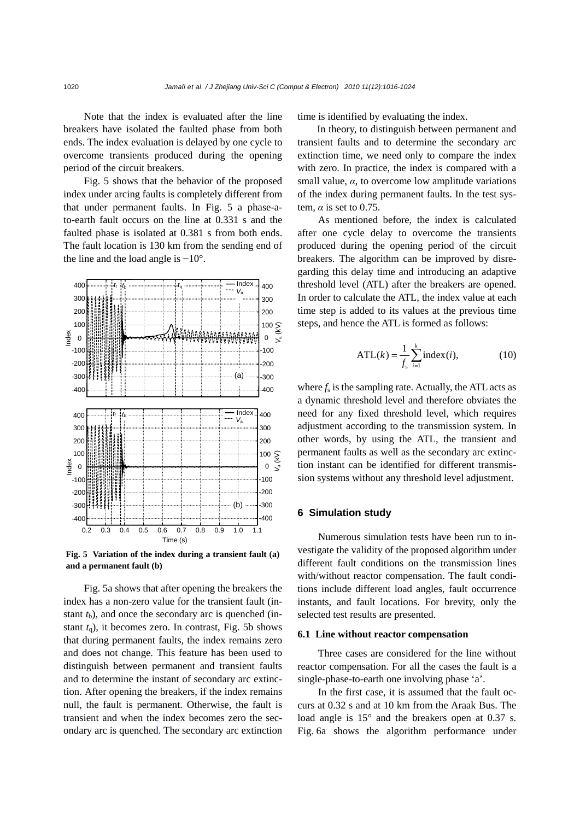Note that the index is evaluated after the line breakers have isolated the faulted phase from both ends. The index evaluation is delayed by one cycle to overcome transients produced during the opening period of the circuit breakers.

Fig. 5 shows that the behavior of the proposed index under arcing faults is completely different from that under permanent faults. In Fig. 5 a phase-ato-earth fault occurs on the line at 0.331 s and the faulted phase is isolated at 0.381 s from both ends. The fault location is 130 km from the sending end of the line and the load angle is  $-10^\circ$ .



**Fig. 5 Variation of the index during a transient fault (a) and a permanent fault (b)**

Fig. 5a shows that after opening the breakers the index has a non-zero value for the transient fault (instant  $t<sub>b</sub>$ ), and once the secondary arc is quenched (instant  $t<sub>q</sub>$ ), it becomes zero. In contrast, Fig. 5b shows that during permanent faults, the index remains zero and does not change. This feature has been used to distinguish between permanent and transient faults and to determine the instant of secondary arc extinction. After opening the breakers, if the index remains null, the fault is permanent. Otherwise, the fault is transient and when the index becomes zero the secondary arc is quenched. The secondary arc extinction

time is identified by evaluating the index.

In theory, to distinguish between permanent and transient faults and to determine the secondary arc extinction time, we need only to compare the index with zero. In practice, the index is compared with a small value,  $\alpha$ , to overcome low amplitude variations of the index during permanent faults. In the test system,  $\alpha$  is set to 0.75.

As mentioned before, the index is calculated after one cycle delay to overcome the transients produced during the opening period of the circuit breakers. The algorithm can be improved by disregarding this delay time and introducing an adaptive threshold level (ATL) after the breakers are opened. In order to calculate the ATL, the index value at each time step is added to its values at the previous time steps, and hence the ATL is formed as follows:

$$
ATL(k) = \frac{1}{f_s} \sum_{i=1}^{k} \text{index}(i),\tag{10}
$$

where  $f_s$  is the sampling rate. Actually, the ATL acts as a dynamic threshold level and therefore obviates the need for any fixed threshold level, which requires adjustment according to the transmission system. In other words, by using the ATL, the transient and permanent faults as well as the secondary arc extinction instant can be identified for different transmission systems without any threshold level adjustment.

# **6 Simulation study**

Numerous simulation tests have been run to investigate the validity of the proposed algorithm under different fault conditions on the transmission lines with/without reactor compensation. The fault conditions include different load angles, fault occurrence instants, and fault locations. For brevity, only the selected test results are presented.

# **6.1 Line without reactor compensation**

Three cases are considered for the line without reactor compensation. For all the cases the fault is a single-phase-to-earth one involving phase 'a'.

In the first case, it is assumed that the fault occurs at 0.32 s and at 10 km from the Araak Bus. The load angle is  $15^{\circ}$  and the breakers open at 0.37 s. Fig. 6a shows the algorithm performance under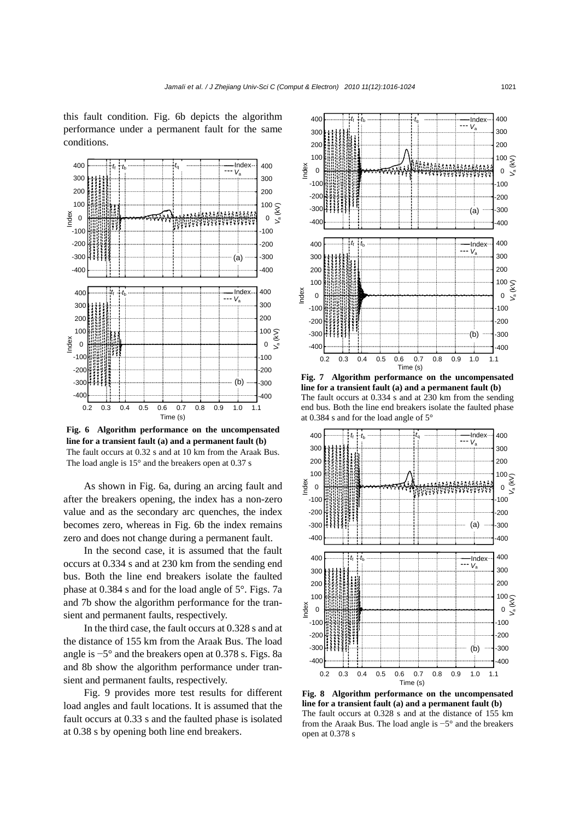this fault condition. Fig. 6b depicts the algorithm performance under a permanent fault for the same conditions.



**Fig. 6 Algorithm performance on the uncompensated line for a transient fault (a) and a permanent fault (b)**  The fault occurs at 0.32 s and at 10 km from the Araak Bus. The load angle is  $15^{\circ}$  and the breakers open at 0.37 s

As shown in Fig. 6a, during an arcing fault and after the breakers opening, the index has a non-zero value and as the secondary arc quenches, the index becomes zero, whereas in Fig. 6b the index remains zero and does not change during a permanent fault.

In the second case, it is assumed that the fault occurs at 0.334 s and at 230 km from the sending end bus. Both the line end breakers isolate the faulted phase at 0.384 s and for the load angle of 5°. Figs. 7a and 7b show the algorithm performance for the transient and permanent faults, respectively.

In the third case, the fault occurs at 0.328 s and at the distance of 155 km from the Araak Bus. The load angle is −5° and the breakers open at 0.378 s. Figs. 8a and 8b show the algorithm performance under transient and permanent faults, respectively.

Fig. 9 provides more test results for different load angles and fault locations. It is assumed that the fault occurs at 0.33 s and the faulted phase is isolated at 0.38 s by opening both line end breakers.



**Fig. 7 Algorithm performance on the uncompensated line for a transient fault (a) and a permanent fault (b)**  The fault occurs at 0.334 s and at 230 km from the sending end bus. Both the line end breakers isolate the faulted phase at 0.384 s and for the load angle of 5°



**Fig. 8 Algorithm performance on the uncompensated line for a transient fault (a) and a permanent fault (b)**  The fault occurs at 0.328 s and at the distance of 155 km from the Araak Bus. The load angle is −5° and the breakers open at 0.378 s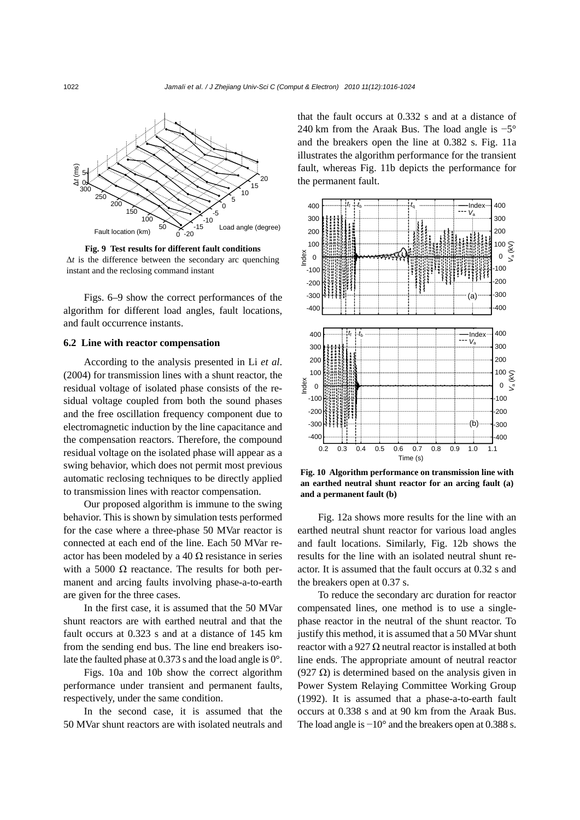

**Fig. 9 Test results for different fault conditions**  Δ*t* is the difference between the secondary arc quenching instant and the reclosing command instant

Figs. 6–9 show the correct performances of the algorithm for different load angles, fault locations, and fault occurrence instants.

#### **6.2 Line with reactor compensation**

According to the analysis presented in Li *et al*. (2004) for transmission lines with a shunt reactor, the residual voltage of isolated phase consists of the residual voltage coupled from both the sound phases and the free oscillation frequency component due to electromagnetic induction by the line capacitance and the compensation reactors. Therefore, the compound residual voltage on the isolated phase will appear as a swing behavior, which does not permit most previous automatic reclosing techniques to be directly applied to transmission lines with reactor compensation.

Our proposed algorithm is immune to the swing behavior. This is shown by simulation tests performed for the case where a three-phase 50 MVar reactor is connected at each end of the line. Each 50 MVar reactor has been modeled by a 40  $\Omega$  resistance in series with a 5000  $\Omega$  reactance. The results for both permanent and arcing faults involving phase-a-to-earth are given for the three cases.

In the first case, it is assumed that the 50 MVar shunt reactors are with earthed neutral and that the fault occurs at 0.323 s and at a distance of 145 km from the sending end bus. The line end breakers isolate the faulted phase at 0.373 s and the load angle is 0°.

Figs. 10a and 10b show the correct algorithm performance under transient and permanent faults, respectively, under the same condition.

In the second case, it is assumed that the 50 MVar shunt reactors are with isolated neutrals and that the fault occurs at 0.332 s and at a distance of 240 km from the Araak Bus. The load angle is −5° and the breakers open the line at 0.382 s. Fig. 11a illustrates the algorithm performance for the transient fault, whereas Fig. 11b depicts the performance for the permanent fault.



**Fig. 10 Algorithm performance on transmission line with an earthed neutral shunt reactor for an arcing fault (a) and a permanent fault (b)**

Fig. 12a shows more results for the line with an earthed neutral shunt reactor for various load angles and fault locations. Similarly, Fig. 12b shows the results for the line with an isolated neutral shunt reactor. It is assumed that the fault occurs at 0.32 s and the breakers open at 0.37 s.

To reduce the secondary arc duration for reactor compensated lines, one method is to use a singlephase reactor in the neutral of the shunt reactor. To justify this method, it is assumed that a 50 MVar shunt reactor with a 927  $\Omega$  neutral reactor is installed at both line ends. The appropriate amount of neutral reactor (927 Ω) is determined based on the analysis given in Power System Relaying Committee Working Group (1992). It is assumed that a phase-a-to-earth fault occurs at 0.338 s and at 90 km from the Araak Bus. The load angle is  $-10^{\circ}$  and the breakers open at 0.388 s.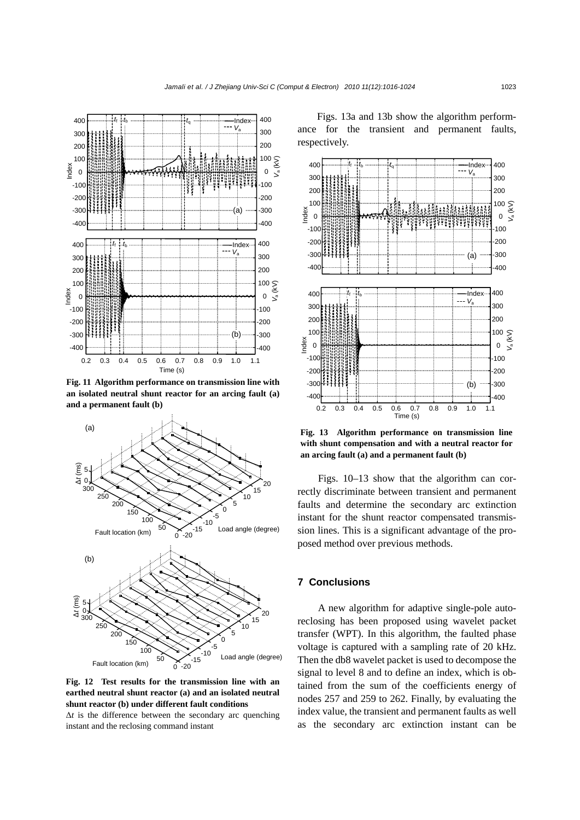

**Fig. 11 Algorithm performance on transmission line with an isolated neutral shunt reactor for an arcing fault (a) and a permanent fault (b)**



**Fig. 12 Test results for the transmission line with an earthed neutral shunt reactor (a) and an isolated neutral shunt reactor (b) under different fault conditions** 

 $\Delta t$  is the difference between the secondary arc quenching instant and the reclosing command instant

Figs. 13a and 13b show the algorithm performance for the transient and permanent faults, respectively.



**Fig. 13 Algorithm performance on transmission line with shunt compensation and with a neutral reactor for an arcing fault (a) and a permanent fault (b)**

Figs. 10–13 show that the algorithm can correctly discriminate between transient and permanent faults and determine the secondary arc extinction instant for the shunt reactor compensated transmission lines. This is a significant advantage of the proposed method over previous methods.

### **7 Conclusions**

A new algorithm for adaptive single-pole autoreclosing has been proposed using wavelet packet transfer (WPT). In this algorithm, the faulted phase voltage is captured with a sampling rate of 20 kHz. Then the db8 wavelet packet is used to decompose the signal to level 8 and to define an index, which is obtained from the sum of the coefficients energy of nodes 257 and 259 to 262. Finally, by evaluating the index value, the transient and permanent faults as well as the secondary arc extinction instant can be